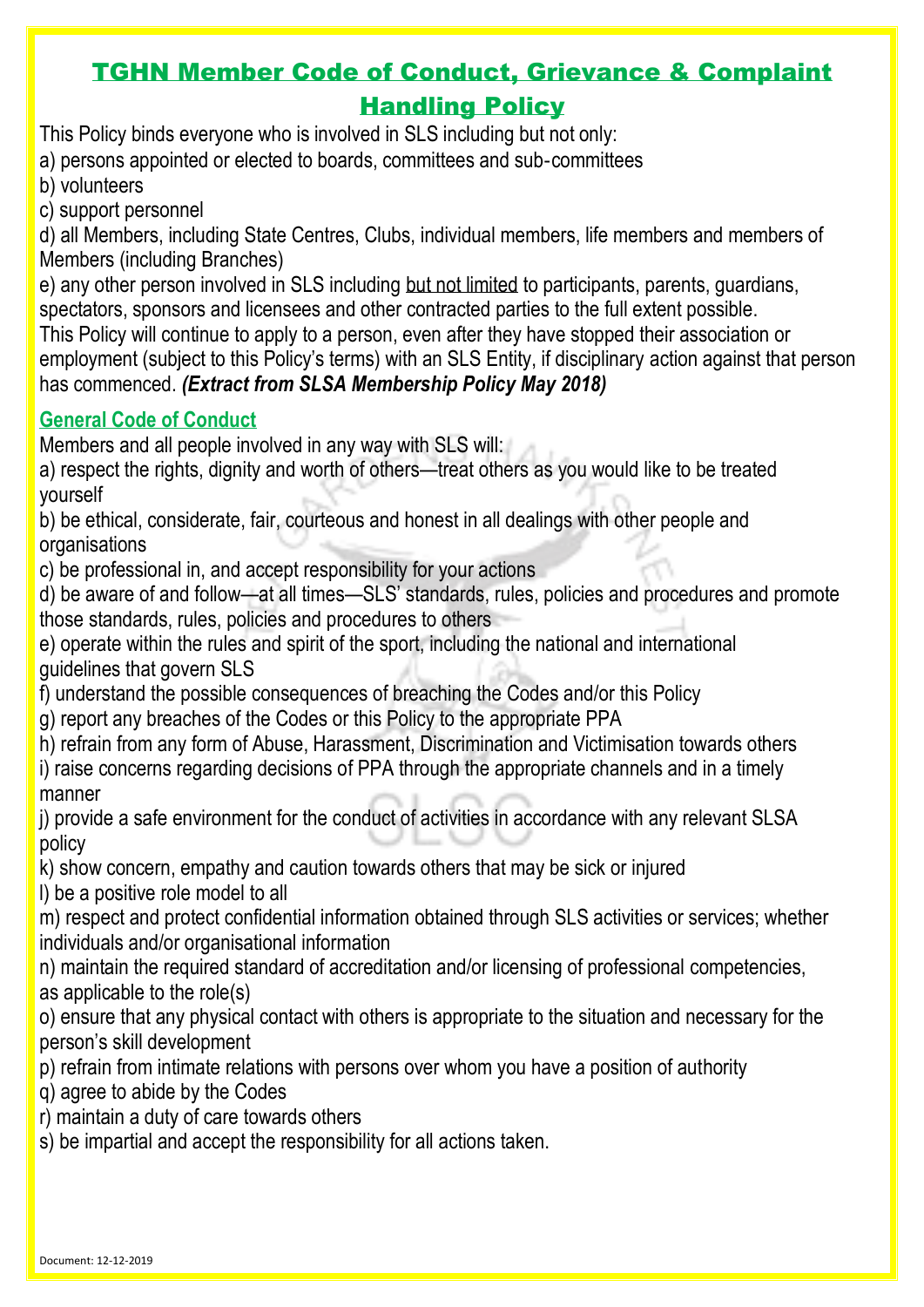Document: 12-12-2019

## TGHN Member Code of Conduct, Grievance & Complaint Handling Policy

This Policy binds everyone who is involved in SLS including but not only:

a) persons appointed or elected to boards, committees and sub‐committees

- b) volunteers
- c) support personnel

d) all Members, including State Centres, Clubs, individual members, life members and members of Members (including Branches)

e) any other person involved in SLS including but not limited to participants, parents, guardians, spectators, sponsors and licensees and other contracted parties to the full extent possible.

This Policy will continue to apply to a person, even after they have stopped their association or employment (subject to this Policy's terms) with an SLS Entity, if disciplinary action against that person has commenced. *(Extract from SLSA Membership Policy May 2018)*

## **General Code of Conduct**

Members and all people involved in any way with SLS will:

a) respect the rights, dignity and worth of others—treat others as you would like to be treated yourself

b) be ethical, considerate, fair, courteous and honest in all dealings with other people and organisations

c) be professional in, and accept responsibility for your actions

d) be aware of and follow—at all times—SLS' standards, rules, policies and procedures and promote those standards, rules, policies and procedures to others

- e) operate within the rules and spirit of the sport, including the national and international guidelines that govern SLS
- f) understand the possible consequences of breaching the Codes and/or this Policy
- g) report any breaches of the Codes or this Policy to the appropriate PPA
- h) refrain from any form of Abuse, Harassment, Discrimination and Victimisation towards others
- i) raise concerns regarding decisions of PPA through the appropriate channels and in a timely manner

j) provide a safe environment for the conduct of activities in accordance with any relevant SLSA policy

k) show concern, empathy and caution towards others that may be sick or injured

l) be a positive role model to all

m) respect and protect confidential information obtained through SLS activities or services; whether individuals and/or organisational information

n) maintain the required standard of accreditation and/or licensing of professional competencies, as applicable to the role(s)

o) ensure that any physical contact with others is appropriate to the situation and necessary for the person's skill development

p) refrain from intimate relations with persons over whom you have a position of authority

q) agree to abide by the Codes

r) maintain a duty of care towards others

s) be impartial and accept the responsibility for all actions taken.